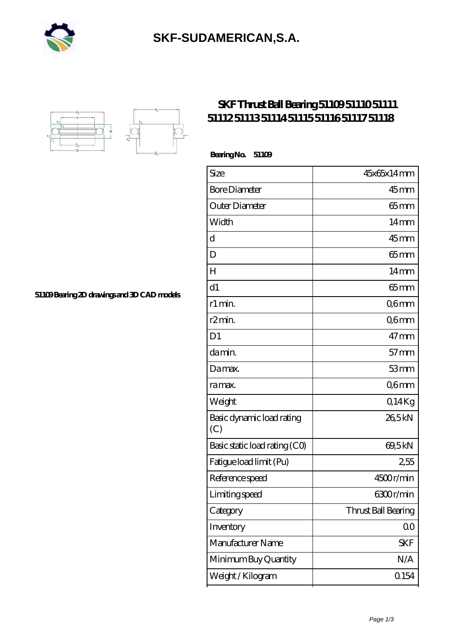

## **[SKF-SUDAMERICAN,S.A.](https://iblcheck.com)**



## **[SKF Thrust Ball Bearing 51109 51110 51111](https://iblcheck.com/skf-51109-bearing/) [51112 51113 51114 51115 51116 51117 51118](https://iblcheck.com/skf-51109-bearing/)**

 **Bearing No. 51109**

| Size                             | 45x65x14mm          |
|----------------------------------|---------------------|
| <b>Bore Diameter</b>             | $45$ <sub>mm</sub>  |
| Outer Diameter                   | $65$ mm             |
| Width                            | 14 <sub>mm</sub>    |
| d                                | $45$ mm             |
| D                                | $65$ mm             |
| Н                                | 14 <sub>mm</sub>    |
| d1                               | $65 \text{mm}$      |
| r1 min.                          | Q6mm                |
| r2min.                           | Q6mm                |
| D1                               | $47$ mm             |
| da min.                          | $57$ mm             |
| Damax.                           | 53mm                |
| ra max.                          | Q6mm                |
| Weight                           | Q14Kg               |
| Basic dynamic load rating<br>(C) | 265kN               |
| Basic static load rating (CO)    | 69,5kN              |
| Fatigue load limit (Pu)          | 2,55                |
| Reference speed                  | 4500r/min           |
| Limiting speed                   | 6300r/min           |
| Category                         | Thrust Ball Bearing |
| Inventory                        | 0 <sub>0</sub>      |
| Manufacturer Name                | <b>SKF</b>          |
| Minimum Buy Quantity             | N/A                 |
| Weight / Kilogram                | Q154                |

**[51109 Bearing 2D drawings and 3D CAD models](https://iblcheck.com/pic-804808.html)**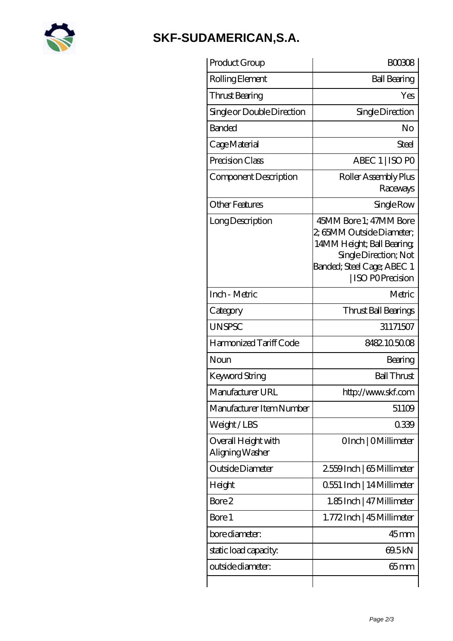

## **[SKF-SUDAMERICAN,S.A.](https://iblcheck.com)**

| Product Group                          | <b>BOO308</b>                                                                                                                                                      |
|----------------------------------------|--------------------------------------------------------------------------------------------------------------------------------------------------------------------|
| Rolling Element                        | <b>Ball Bearing</b>                                                                                                                                                |
| Thrust Bearing                         | Yes                                                                                                                                                                |
| Single or Double Direction             | Single Direction                                                                                                                                                   |
| <b>Banded</b>                          | No                                                                                                                                                                 |
| Cage Material                          | Steel                                                                                                                                                              |
| Precision Class                        | ABEC 1   ISO PO                                                                                                                                                    |
| Component Description                  | Roller Assembly Plus<br>Raceways                                                                                                                                   |
| <b>Other Features</b>                  | Single Row                                                                                                                                                         |
| Long Description                       | 45MM Bore 1; 47MM Bore<br>2, 65MM Outside Diameter;<br>14MM Height; Ball Bearing;<br>Single Direction; Not<br>Banded; Steel Cage; ABEC 1<br><b>ISO POPrecision</b> |
| Inch - Metric                          | Metric                                                                                                                                                             |
| Category                               | Thrust Ball Bearings                                                                                                                                               |
| <b>UNSPSC</b>                          | 31171507                                                                                                                                                           |
| Harmonized Tariff Code                 | 8482105008                                                                                                                                                         |
| Noun                                   | Bearing                                                                                                                                                            |
| <b>Keyword String</b>                  | <b>Ball Thrust</b>                                                                                                                                                 |
| Manufacturer URL                       | http://www.skf.com                                                                                                                                                 |
| Manufacturer Item Number               | 51109                                                                                                                                                              |
| Weight/LBS                             | 0339                                                                                                                                                               |
| Overall Height with<br>Aligning Washer | OInch   OMillimeter                                                                                                                                                |
| Outside Diameter                       | 2559Inch   65 Millimeter                                                                                                                                           |
| Height                                 | 0551 Inch   14 Millimeter                                                                                                                                          |
| Bore 2                                 | 1.85 Inch   47 Millimeter                                                                                                                                          |
| Bore 1                                 | 1.772Inch   45 Millimeter                                                                                                                                          |
| bore diameter:                         | $45$ mm                                                                                                                                                            |
| static load capacity.                  | 69.5kN                                                                                                                                                             |
| outside diameter:                      | 65mm                                                                                                                                                               |
|                                        |                                                                                                                                                                    |